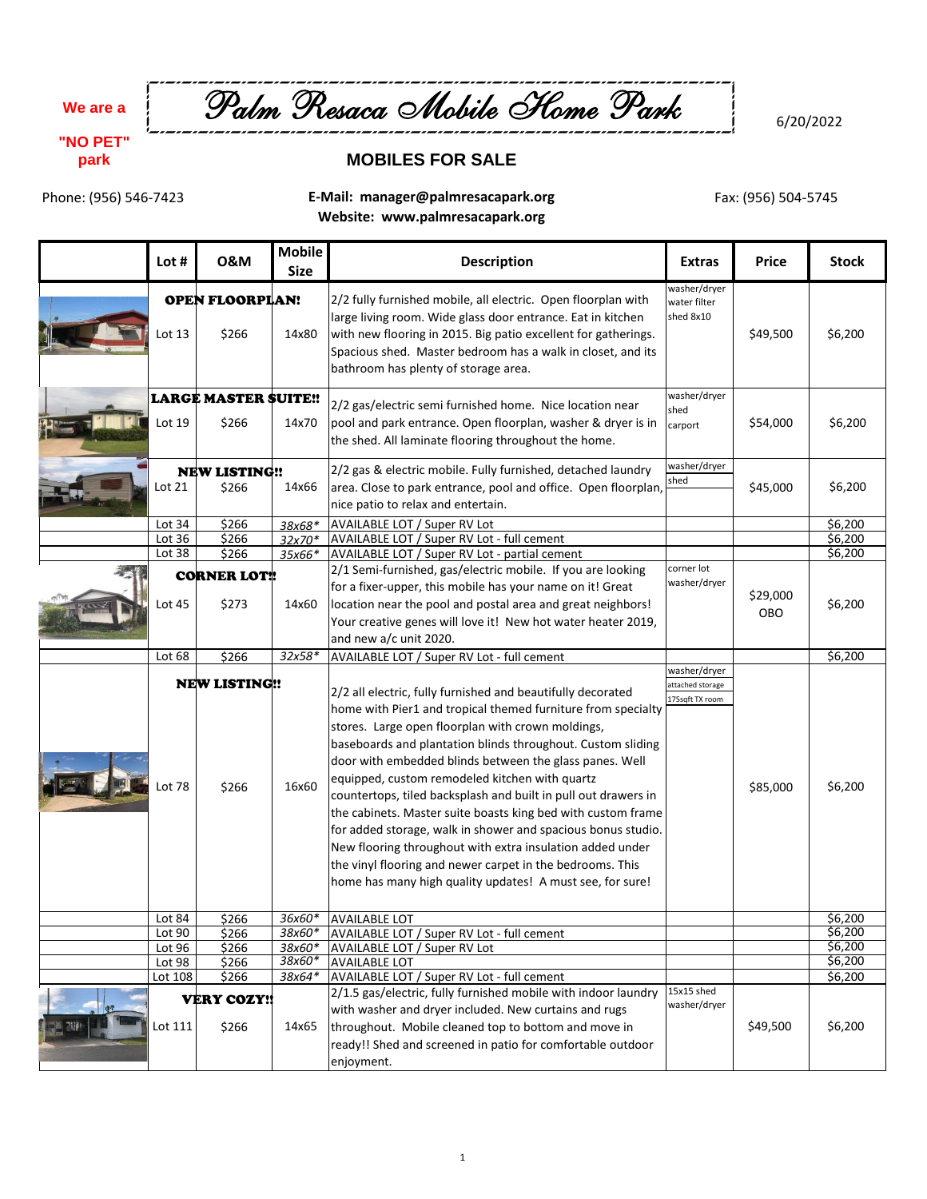**We are a**

**"NO PET" park**



6/20/2022

## **MOBILES FOR SALE**

Phone: (956) 546-7423

**E-Mail: manager@palmresacapark.org Website: www.palmresacapark.org**

Fax: (956) 504-5745

| Lot #              | <b>0&amp;M</b>                       | <b>Mobile</b><br><b>Size</b> | <b>Description</b>                                                                                                                                                                                                                                                                                                                                                                                                                                                                                                                                                                                                                                                                                                                                    | <b>Extras</b>                                       | <b>Price</b>           | <b>Stock</b>       |
|--------------------|--------------------------------------|------------------------------|-------------------------------------------------------------------------------------------------------------------------------------------------------------------------------------------------------------------------------------------------------------------------------------------------------------------------------------------------------------------------------------------------------------------------------------------------------------------------------------------------------------------------------------------------------------------------------------------------------------------------------------------------------------------------------------------------------------------------------------------------------|-----------------------------------------------------|------------------------|--------------------|
| Lot 13             | <b>OPEN FLOORPILAN!</b><br>\$266     | 14x80                        | 2/2 fully furnished mobile, all electric. Open floorplan with<br>large living room. Wide glass door entrance. Eat in kitchen<br>with new flooring in 2015. Big patio excellent for gatherings.<br>Spacious shed. Master bedroom has a walk in closet, and its<br>bathroom has plenty of storage area.                                                                                                                                                                                                                                                                                                                                                                                                                                                 | washer/dryer<br>water filter<br>shed 8x10           | \$49,500               | \$6,200            |
| Lot 19             | <b>LARGE MASTER SUITE!!</b><br>\$266 | 14x70                        | 2/2 gas/electric semi furnished home. Nice location near<br>pool and park entrance. Open floorplan, washer & dryer is in<br>the shed. All laminate flooring throughout the home.                                                                                                                                                                                                                                                                                                                                                                                                                                                                                                                                                                      | washer/dryer<br>shed<br>carport                     | \$54,000               | \$6,200            |
| Lot 21             | <b>NEW LISTING!!</b><br>\$266        | 14x66                        | 2/2 gas & electric mobile. Fully furnished, detached laundry<br>area. Close to park entrance, pool and office. Open floorplan,<br>nice patio to relax and entertain.                                                                                                                                                                                                                                                                                                                                                                                                                                                                                                                                                                                  | washer/dryer<br>shed                                | \$45,000               | \$6,200            |
| Lot 34             | \$266                                | 38x68*                       | AVAILABLE LOT / Super RV Lot                                                                                                                                                                                                                                                                                                                                                                                                                                                                                                                                                                                                                                                                                                                          |                                                     |                        | \$6,200            |
| Lot 36             | \$266                                | 32x70*                       | AVAILABLE LOT / Super RV Lot - full cement                                                                                                                                                                                                                                                                                                                                                                                                                                                                                                                                                                                                                                                                                                            |                                                     |                        | \$6,200            |
| Lot 38             | \$266                                | 35x66*                       | AVAILABLE LOT / Super RV Lot - partial cement                                                                                                                                                                                                                                                                                                                                                                                                                                                                                                                                                                                                                                                                                                         |                                                     |                        | \$6,200            |
| Lot 45             | <b>CORNER LOT!</b><br>\$273          | 14x60                        | 2/1 Semi-furnished, gas/electric mobile. If you are looking<br>for a fixer-upper, this mobile has your name on it! Great<br>location near the pool and postal area and great neighbors!<br>Your creative genes will love it! New hot water heater 2019,<br>and new a/c unit 2020.                                                                                                                                                                                                                                                                                                                                                                                                                                                                     | corner lot<br>washer/dryer                          | \$29,000<br><b>OBO</b> | \$6,200            |
| Lot 68             | \$266                                | $32x58*$                     | AVAILABLE LOT / Super RV Lot - full cement                                                                                                                                                                                                                                                                                                                                                                                                                                                                                                                                                                                                                                                                                                            |                                                     |                        | \$6,200            |
| Lot 78             | <b>NEW LISTING!!</b><br>\$266        | 16x60                        | 2/2 all electric, fully furnished and beautifully decorated<br>home with Pier1 and tropical themed furniture from specialty<br>stores. Large open floorplan with crown moldings,<br>baseboards and plantation blinds throughout. Custom sliding<br>door with embedded blinds between the glass panes. Well<br>equipped, custom remodeled kitchen with quartz<br>countertops, tiled backsplash and built in pull out drawers in<br>the cabinets. Master suite boasts king bed with custom frame<br>for added storage, walk in shower and spacious bonus studio.<br>New flooring throughout with extra insulation added under<br>the vinyl flooring and newer carpet in the bedrooms. This<br>home has many high quality updates! A must see, for sure! | washer/dryer<br>attached storage<br>175sqft TX room | \$85,000               | \$6,200            |
| Lot 84             | \$266                                |                              | 36x60* AVAILABLE LOT                                                                                                                                                                                                                                                                                                                                                                                                                                                                                                                                                                                                                                                                                                                                  |                                                     |                        | \$6,200            |
| Lot 90             | \$266                                | 38x60*                       | <b>AVAILABLE LOT / Super RV Lot - full cement</b>                                                                                                                                                                                                                                                                                                                                                                                                                                                                                                                                                                                                                                                                                                     |                                                     |                        | \$6,200            |
| Lot 96             | \$266                                | 38x60*                       | AVAILABLE LOT / Super RV Lot                                                                                                                                                                                                                                                                                                                                                                                                                                                                                                                                                                                                                                                                                                                          |                                                     |                        | \$6,200            |
| Lot 98             | \$266                                | 38x60*                       | <b>AVAILABLE LOT</b>                                                                                                                                                                                                                                                                                                                                                                                                                                                                                                                                                                                                                                                                                                                                  |                                                     |                        | \$6,200            |
| Lot 108<br>Lot 111 | \$266<br><b>VERY COZY!!</b><br>\$266 | 38x64*<br>14x65              | AVAILABLE LOT / Super RV Lot - full cement<br>2/1.5 gas/electric, fully furnished mobile with indoor laundry<br>with washer and dryer included. New curtains and rugs<br>throughout. Mobile cleaned top to bottom and move in<br>ready!! Shed and screened in patio for comfortable outdoor<br>enjoyment.                                                                                                                                                                                                                                                                                                                                                                                                                                             | 15x15 shed<br>washer/dryer                          | \$49,500               | \$6,200<br>\$6,200 |